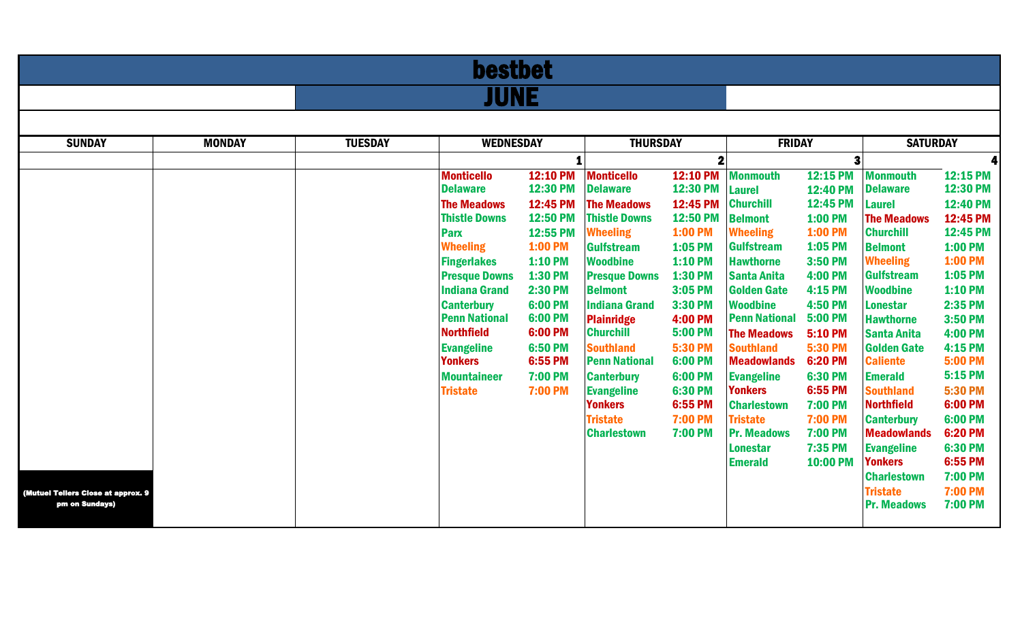| <b>bestbet</b>                     |               |                |                                           |                      |                                           |                                  |                                         |                           |                                         |                           |  |  |
|------------------------------------|---------------|----------------|-------------------------------------------|----------------------|-------------------------------------------|----------------------------------|-----------------------------------------|---------------------------|-----------------------------------------|---------------------------|--|--|
|                                    | <b>JUNE</b>   |                |                                           |                      |                                           |                                  |                                         |                           |                                         |                           |  |  |
|                                    |               |                |                                           |                      |                                           |                                  |                                         |                           |                                         |                           |  |  |
| <b>SUNDAY</b>                      | <b>MONDAY</b> | <b>TUESDAY</b> | <b>WEDNESDAY</b>                          |                      |                                           | <b>THURSDAY</b>                  |                                         | <b>FRIDAY</b>             |                                         | <b>SATURDAY</b>           |  |  |
|                                    |               |                |                                           |                      |                                           |                                  |                                         |                           |                                         |                           |  |  |
|                                    |               |                | <b>Monticello</b>                         | 12:10 PM             | <b>Monticello</b>                         | 12:10 PM                         | <b>Monmouth</b>                         | 12:15 PM                  | <b>Monmouth</b>                         | 12:15 PM                  |  |  |
|                                    |               |                | <b>Delaware</b><br><b>The Meadows</b>     | 12:30 PM<br>12:45 PM | <b>Delaware</b><br><b>The Meadows</b>     | 12:30 PM<br>12:45 PM             | <b>Laurel</b><br><b>Churchill</b>       | 12:40 PM<br>12:45 PM      | <b>Delaware</b><br><b>Laurel</b>        | 12:30 PM<br>12:40 PM      |  |  |
|                                    |               |                | <b>Thistle Downs</b>                      | 12:50 PM             | <b>Thistle Downs</b>                      | 12:50 PM                         | <b>Belmont</b>                          | <b>1:00 PM</b>            | <b>The Meadows</b>                      | 12:45 PM                  |  |  |
|                                    |               |                | <b>Parx</b>                               | 12:55 PM             | <b>Wheeling</b>                           | 1:00 PM                          | <b>Wheeling</b>                         | 1:00 PM                   | <b>Churchill</b>                        | 12:45 PM                  |  |  |
|                                    |               |                | <b>Wheeling</b>                           | <b>1:00 PM</b>       | <b>Gulfstream</b>                         | 1:05 PM                          | <b>Gulfstream</b>                       | 1:05 PM                   | <b>Belmont</b>                          | 1:00 PM                   |  |  |
|                                    |               |                | <b>Fingerlakes</b>                        | <b>1:10 PM</b>       | <b>Woodbine</b>                           | 1:10 PM                          | <b>Hawthorne</b>                        | 3:50 PM                   | <b>Wheeling</b>                         | 1:00 PM                   |  |  |
|                                    |               |                | <b>Presque Downs</b>                      | 1:30 PM              | <b>Presque Downs</b>                      | 1:30 PM                          | <b>Santa Anita</b>                      | <b>4:00 PM</b>            | <b>Gulfstream</b>                       | 1:05 PM                   |  |  |
|                                    |               |                | <b>Indiana Grand</b>                      | <b>2:30 PM</b>       | <b>Belmont</b>                            | 3:05 PM                          | <b>Golden Gate</b>                      | 4:15 PM                   | <b>Woodbine</b>                         | <b>1:10 PM</b>            |  |  |
|                                    |               |                | <b>Canterbury</b><br><b>Penn National</b> | 6:00 PM<br>6:00 PM   | <b>Indiana Grand</b><br><b>Plainridge</b> | 3:30 PM<br><b>4:00 PM</b>        | <b>Woodbine</b><br><b>Penn National</b> | <b>4:50 PM</b><br>5:00 PM | <b>Lonestar</b><br><b>Hawthorne</b>     | 2:35 PM<br>3:50 PM        |  |  |
|                                    |               |                | <b>Northfield</b>                         | 6:00 PM              | <b>Churchill</b>                          | <b>5:00 PM</b>                   | <b>The Meadows</b>                      | <b>5:10 PM</b>            | <b>Santa Anita</b>                      | <b>4:00 PM</b>            |  |  |
|                                    |               |                | <b>Evangeline</b>                         | <b>6:50 PM</b>       | <b>Southland</b>                          | 5:30 PM                          | <b>Southland</b>                        | 5:30 PM                   | <b>Golden Gate</b>                      | 4:15 PM                   |  |  |
|                                    |               |                | <b>Yonkers</b>                            | 6:55 PM              | <b>Penn National</b>                      | 6:00 PM                          | <b>Meadowlands</b>                      | 6:20 PM                   | <b>Caliente</b>                         | <b>5:00 PM</b>            |  |  |
|                                    |               |                | <b>Mountaineer</b>                        | <b>7:00 PM</b>       | <b>Canterbury</b>                         | 6:00 PM                          | <b>Evangeline</b>                       | <b>6:30 PM</b>            | <b>Emerald</b>                          | 5:15 PM                   |  |  |
|                                    |               |                | <b>Tristate</b>                           | <b>7:00 PM</b>       | <b>Evangeline</b>                         | <b>6:30 PM</b>                   | <b>Yonkers</b>                          | 6:55 PM                   | <b>Southland</b>                        | 5:30 PM                   |  |  |
|                                    |               |                |                                           |                      | <b>Yonkers</b>                            | 6:55 PM                          | <b>Charlestown</b>                      | 7:00 PM                   | <b>Northfield</b>                       | 6:00 PM                   |  |  |
|                                    |               |                |                                           |                      | <b>Tristate</b><br><b>Charlestown</b>     | <b>7:00 PM</b><br><b>7:00 PM</b> | <b>Tristate</b><br><b>Pr. Meadows</b>   | 7:00 PM<br>7:00 PM        | <b>Canterbury</b><br><b>Meadowlands</b> | <b>6:00 PM</b><br>6:20 PM |  |  |
|                                    |               |                |                                           |                      |                                           |                                  | <b>Lonestar</b>                         | 7:35 PM                   | <b>Evangeline</b>                       | 6:30 PM                   |  |  |
|                                    |               |                |                                           |                      |                                           |                                  | <b>Emerald</b>                          | 10:00 PM                  | <b>Yonkers</b>                          | 6:55 PM                   |  |  |
|                                    |               |                |                                           |                      |                                           |                                  |                                         |                           | <b>Charlestown</b>                      | <b>7:00 PM</b>            |  |  |
| (Mutuel Tellers Close at approx. 9 |               |                |                                           |                      |                                           |                                  |                                         |                           | <b>Tristate</b>                         | <b>7:00 PM</b>            |  |  |
| pm on Sundays)                     |               |                |                                           |                      |                                           |                                  |                                         |                           | <b>Pr. Meadows</b>                      | <b>7:00 PM</b>            |  |  |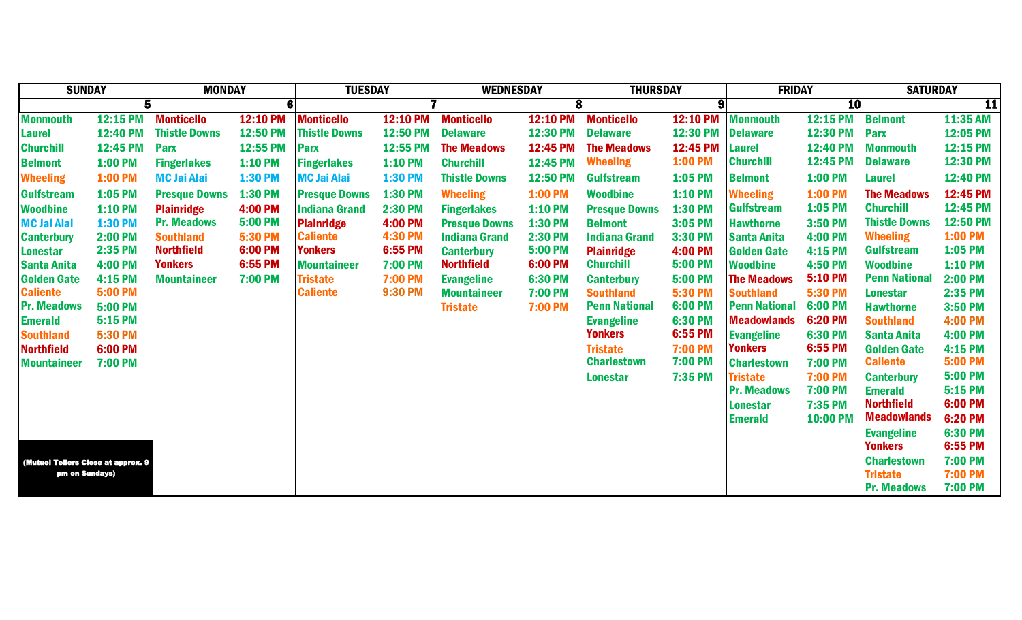| <b>SUNDAY</b>                                        |                | <b>MONDAY</b>        |                 | <b>TUESDAY</b>       |                 | <b>WEDNESDAY</b>     |                | <b>THURSDAY</b>      |                 | <b>FRIDAY</b>        |                     | <b>SATURDAY</b>                     |                    |
|------------------------------------------------------|----------------|----------------------|-----------------|----------------------|-----------------|----------------------|----------------|----------------------|-----------------|----------------------|---------------------|-------------------------------------|--------------------|
|                                                      |                |                      | 6               |                      |                 |                      | 8              |                      | 9               |                      | <b>10</b>           |                                     | 11                 |
| <b>Monmouth</b>                                      | 12:15 PM       | <b>Monticello</b>    | <b>12:10 PM</b> | <b>Monticello</b>    | <b>12:10 PM</b> | <b>Monticello</b>    | 12:10 PM       | <b>Monticello</b>    | <b>12:10 PM</b> | <b>Monmouth</b>      | 12:15 PM            | <b>Belmont</b>                      | 11:35 AM           |
| Laurel                                               | 12:40 PM       | <b>Thistle Downs</b> | 12:50 PM        | <b>Thistle Downs</b> | 12:50 PM        | <b>Delaware</b>      | 12:30 PM       | <b>Delaware</b>      | 12:30 PM        | <b>Delaware</b>      | 12:30 PM            | <b>Parx</b>                         | 12:05 PM           |
| <b>Churchill</b>                                     | 12:45 PM       | Parx                 | 12:55 PM        | Parx                 | 12:55 PM        | <b>The Meadows</b>   | 12:45 PM       | <b>The Meadows</b>   | 12:45 PM        | <b>Laurel</b>        | 12:40 PM            | <b>Monmouth</b>                     | 12:15 PM           |
| <b>Belmont</b>                                       | 1:00 PM        | <b>Fingerlakes</b>   | <b>1:10 PM</b>  | <b>Fingerlakes</b>   | 1:10 PM         | <b>Churchill</b>     | 12:45 PM       | <b>Wheeling</b>      | 1:00 PM         | <b>Churchill</b>     | 12:45 PM            | <b>Delaware</b>                     | 12:30 PM           |
| <b>Wheeling</b>                                      | 1:00 PM        | <b>MC Jai Alai</b>   | 1:30 PM         | <b>MC Jai Alai</b>   | 1:30 PM         | <b>Thistle Downs</b> | 12:50 PM       | <b>Gulfstream</b>    | 1:05 PM         | <b>Belmont</b>       | 1:00 PM             | <b>Laurel</b>                       | 12:40 PM           |
| <b>Gulfstream</b>                                    | 1:05 PM        | <b>Presque Downs</b> | 1:30 PM         | <b>Presque Downs</b> | 1:30 PM         | <b>Wheeling</b>      | <b>1:00 PM</b> | <b>Woodbine</b>      | <b>1:10 PM</b>  | <b>Wheeling</b>      | 1:00 PM             | <b>The Meadows</b>                  | 12:45 PM           |
| <b>Woodbine</b>                                      | <b>1:10 PM</b> | <b>Plainridge</b>    | <b>4:00 PM</b>  | <b>Indiana Grand</b> | <b>2:30 PM</b>  | <b>Fingerlakes</b>   | <b>1:10 PM</b> | <b>Presque Downs</b> | 1:30 PM         | <b>Gulfstream</b>    | 1:05 PM             | <b>Churchill</b>                    | 12:45 PM           |
| <b>MC Jai Alai</b>                                   | 1:30 PM        | <b>Pr. Meadows</b>   | <b>5:00 PM</b>  | <b>Plainridge</b>    | <b>4:00 PM</b>  | <b>Presque Downs</b> | 1:30 PM        | <b>Belmont</b>       | 3:05 PM         | <b>Hawthorne</b>     | 3:50 PM             | <b>Thistle Downs</b>                | 12:50 PM           |
| <b>Canterbury</b>                                    | <b>2:00 PM</b> | <b>Southland</b>     | 5:30 PM         | <b>Caliente</b>      | <b>4:30 PM</b>  | <b>Indiana Grand</b> | <b>2:30 PM</b> | <b>Indiana Grand</b> | 3:30 PM         | <b>Santa Anita</b>   | <b>4:00 PM</b>      | <b>Wheeling</b>                     | <b>1:00 PM</b>     |
| <b>Lonestar</b>                                      | 2:35 PM        | <b>Northfield</b>    | 6:00 PM         | <b>Yonkers</b>       | 6:55 PM         | <b>Canterbury</b>    | <b>5:00 PM</b> | <b>Plainridge</b>    | 4:00 PM         | <b>Golden Gate</b>   | 4:15 PM             | <b>Gulfstream</b>                   | 1:05 PM            |
| <b>Santa Anita</b>                                   | <b>4:00 PM</b> | <b>Yonkers</b>       | 6:55 PM         | <b>Mountaineer</b>   | <b>7:00 PM</b>  | <b>Northfield</b>    | 6:00 PM        | <b>Churchill</b>     | <b>5:00 PM</b>  | <b>Woodbine</b>      | <b>4:50 PM</b>      | <b>Woodbine</b>                     | <b>1:10 PM</b>     |
| <b>Golden Gate</b>                                   | 4:15 PM        | <b>Mountaineer</b>   | <b>7:00 PM</b>  | <b>Tristate</b>      | <b>7:00 PM</b>  | <b>Evangeline</b>    | 6:30 PM        | <b>Canterbury</b>    | <b>5:00 PM</b>  | <b>The Meadows</b>   | 5:10 PM             | <b>Penn National</b>                | <b>2:00 PM</b>     |
| <b>Caliente</b>                                      | <b>5:00 PM</b> |                      |                 | <b>Caliente</b>      | <b>9:30 PM</b>  | <b>Mountaineer</b>   | 7:00 PM        | <b>Southland</b>     | <b>5:30 PM</b>  | <b>Southland</b>     | 5:30 PM             | Lonestar                            | 2:35 PM            |
| <b>Pr. Meadows</b>                                   | <b>5:00 PM</b> |                      |                 |                      |                 | <b>Tristate</b>      | <b>7:00 PM</b> | <b>Penn National</b> | 6:00 PM         | <b>Penn National</b> | 6:00 PM             | <b>Hawthorne</b>                    | 3:50 PM            |
| <b>Emerald</b>                                       | 5:15 PM        |                      |                 |                      |                 |                      |                | <b>Evangeline</b>    | 6:30 PM         | <b>Meadowlands</b>   | 6:20 PM             | <b>Southland</b>                    | <b>4:00 PM</b>     |
| <b>Southland</b>                                     | <b>5:30 PM</b> |                      |                 |                      |                 |                      |                | <b>Yonkers</b>       | 6:55 PM         | <b>Evangeline</b>    | 6:30 PM             | <b>Santa Anita</b>                  | <b>4:00 PM</b>     |
| Northfield                                           | 6:00 PM        |                      |                 |                      |                 |                      |                | <b>Tristate</b>      | <b>7:00 PM</b>  | <b>Yonkers</b>       | 6:55 PM             | <b>Golden Gate</b>                  | <b>4:15 PM</b>     |
| <b>Mountaineer</b>                                   | <b>7:00 PM</b> |                      |                 |                      |                 |                      |                | <b>Charlestown</b>   | 7:00 PM         | <b>Charlestown</b>   | <b>7:00 PM</b>      | <b>Caliente</b>                     | <b>5:00 PM</b>     |
|                                                      |                |                      |                 |                      |                 |                      |                | <b>Lonestar</b>      | 7:35 PM         | <b>Tristate</b>      | <b>7:00 PM</b>      | <b>Canterbury</b>                   | <b>5:00 PM</b>     |
|                                                      |                |                      |                 |                      |                 |                      |                |                      |                 | <b>Pr. Meadows</b>   | 7:00 PM             | <b>Emerald</b><br><b>Northfield</b> | 5:15 PM<br>6:00 PM |
|                                                      |                |                      |                 |                      |                 |                      |                |                      |                 | <b>Lonestar</b>      | 7:35 PM<br>10:00 PM | <b>Meadowlands</b>                  | 6:20 PM            |
|                                                      |                |                      |                 |                      |                 |                      |                |                      |                 | <b>Emerald</b>       |                     |                                     | 6:30 PM            |
|                                                      |                |                      |                 |                      |                 |                      |                |                      |                 |                      |                     | <b>Evangeline</b><br><b>Yonkers</b> | 6:55 PM            |
|                                                      |                |                      |                 |                      |                 | <b>Charlestown</b>   | <b>7:00 PM</b> |                      |                 |                      |                     |                                     |                    |
| (Mutuel Tellers Close at approx. 9<br>pm on Sundays) |                |                      |                 |                      |                 |                      |                |                      |                 |                      |                     | <b>Tristate</b>                     | <b>7:00 PM</b>     |
|                                                      |                |                      |                 |                      |                 |                      |                |                      |                 |                      |                     | <b>Pr. Meadows</b>                  | <b>7:00 PM</b>     |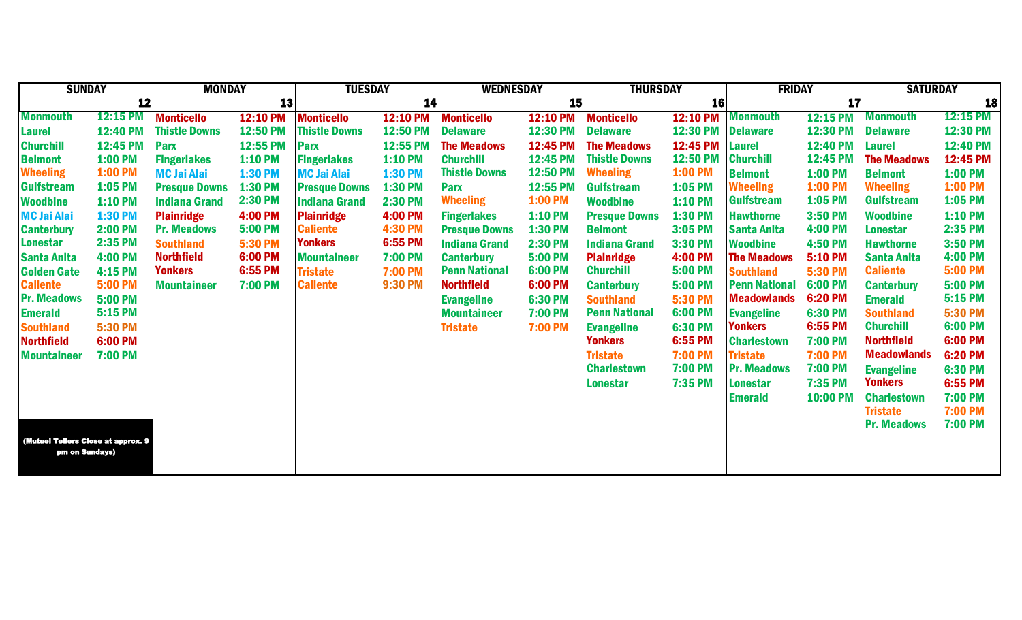| <b>SUNDAY</b><br><b>MONDAY</b>     |                 |                      | <b>TUESDAY</b> |                      | <b>WEDNESDAY</b> | <b>THURSDAY</b>      |                 | <b>FRIDAY</b>        |                 | <b>SATURDAY</b>      |                          |                    |                 |
|------------------------------------|-----------------|----------------------|----------------|----------------------|------------------|----------------------|-----------------|----------------------|-----------------|----------------------|--------------------------|--------------------|-----------------|
|                                    | $\overline{12}$ |                      | 13             |                      | $\overline{14}$  |                      | 15              |                      | <b>16</b>       |                      | $\overline{\mathbf{17}}$ |                    | <b>18</b>       |
| <b>Monmouth</b>                    | <b>12:15 PM</b> | <b>Monticello</b>    | 12:10 PM       | <b>Monticello</b>    | <b>12:10 PM</b>  | <b>Monticello</b>    | 12:10 PM        | <b>Monticello</b>    | <b>12:10 PM</b> | <b>Monmouth</b>      | 12:15 PM                 | <b>Monmouth</b>    | <b>12:15 PM</b> |
| <b>Laurel</b>                      | <b>12:40 PM</b> | <b>Thistle Downs</b> | 12:50 PM       | <b>Thistle Downs</b> | 12:50 PM         | <b>Delaware</b>      | 12:30 PM        | <b>Delaware</b>      | 12:30 PM        | <b>Delaware</b>      | 12:30 PM                 | <b>Delaware</b>    | 12:30 PM        |
| <b>Churchill</b>                   | 12:45 PM        | <b>Parx</b>          | 12:55 PM       | Parx                 | 12:55 PM         | <b>The Meadows</b>   | 12:45 PM        | <b>The Meadows</b>   | 12:45 PM        | <b>Laurel</b>        | 12:40 PM                 | <b>Laurel</b>      | 12:40 PM        |
| <b>Belmont</b>                     | <b>1:00 PM</b>  | <b>Fingerlakes</b>   | $1:10$ PM      | <b>Fingerlakes</b>   | <b>1:10 PM</b>   | <b>Churchill</b>     | 12:45 PM        | <b>Thistle Downs</b> | 12:50 PM        | <b>Churchill</b>     | 12:45 PM                 | <b>The Meadows</b> | 12:45 PM        |
| <b>Wheeling</b>                    | <b>1:00 PM</b>  | <b>MC Jai Alai</b>   | <b>1:30 PM</b> | <b>MC Jai Alai</b>   | 1:30 PM          | <b>Thistle Downs</b> | <b>12:50 PM</b> | <b>Wheeling</b>      | <b>1:00 PM</b>  | <b>Belmont</b>       | 1:00 PM                  | <b>Belmont</b>     | <b>1:00 PM</b>  |
| <b>Gulfstream</b>                  | 1:05 PM         | <b>Presque Downs</b> | 1:30 PM        | <b>Presque Downs</b> | 1:30 PM          | <b>Parx</b>          | 12:55 PM        | <b>Gulfstream</b>    | 1:05 PM         | <b>Wheeling</b>      | 1:00 PM                  | <b>Wheeling</b>    | <b>1:00 PM</b>  |
| <b>Woodbine</b>                    | <b>1:10 PM</b>  | <b>Indiana Grand</b> | <b>2:30 PM</b> | <b>Indiana Grand</b> | 2:30 PM          | <b>Wheeling</b>      | <b>1:00 PM</b>  | <b>Woodbine</b>      | <b>1:10 PM</b>  | <b>Gulfstream</b>    | 1:05 PM                  | <b>Gulfstream</b>  | 1:05 PM         |
| <b>MC Jai Alai</b>                 | 1:30 PM         | <b>Plainridge</b>    | <b>4:00 PM</b> | <b>Plainridge</b>    | 4:00 PM          | <b>Fingerlakes</b>   | <b>1:10 PM</b>  | <b>Presque Downs</b> | 1:30 PM         | <b>Hawthorne</b>     | 3:50 PM                  | <b>Woodbine</b>    | <b>1:10 PM</b>  |
| <b>Canterbury</b>                  | <b>2:00 PM</b>  | <b>Pr. Meadows</b>   | <b>5:00 PM</b> | <b>Caliente</b>      | 4:30 PM          | <b>Presque Downs</b> | 1:30 PM         | <b>Belmont</b>       | 3:05 PM         | <b>Santa Anita</b>   | 4:00 PM                  | Lonestar           | 2:35 PM         |
| <b>Lonestar</b>                    | 2:35 PM         | <b>Southland</b>     | <b>5:30 PM</b> | <b>Yonkers</b>       | 6:55 PM          | <b>Indiana Grand</b> | 2:30 PM         | <b>Indiana Grand</b> | 3:30 PM         | <b>Woodbine</b>      | <b>4:50 PM</b>           | <b>Hawthorne</b>   | 3:50 PM         |
| <b>Santa Anita</b>                 | <b>4:00 PM</b>  | <b>Northfield</b>    | 6:00 PM        | <b>Mountaineer</b>   | <b>7:00 PM</b>   | <b>Canterbury</b>    | <b>5:00 PM</b>  | <b>Plainridge</b>    | <b>4:00 PM</b>  | <b>The Meadows</b>   | 5:10 PM                  | <b>Santa Anita</b> | <b>4:00 PM</b>  |
| <b>Golden Gate</b>                 | 4:15 PM         | <b>Yonkers</b>       | 6:55 PM        | <b>Tristate</b>      | <b>7:00 PM</b>   | <b>Penn National</b> | 6:00 PM         | <b>Churchill</b>     | 5:00 PM         | <b>Southland</b>     | <b>5:30 PM</b>           | <b>Caliente</b>    | <b>5:00 PM</b>  |
| <b>Caliente</b>                    | <b>5:00 PM</b>  | <b>Mountaineer</b>   | <b>7:00 PM</b> | <b>Caliente</b>      | <b>9:30 PM</b>   | Northfield           | 6:00 PM         | <b>Canterbury</b>    | 5:00 PM         | <b>Penn National</b> | 6:00 PM                  | <b>Canterbury</b>  | <b>5:00 PM</b>  |
| <b>Pr. Meadows</b>                 | <b>5:00 PM</b>  |                      |                |                      |                  | <b>Evangeline</b>    | 6:30 PM         | <b>Southland</b>     | <b>5:30 PM</b>  | <b>Meadowlands</b>   | 6:20 PM                  | <b>Emerald</b>     | 5:15 PM         |
| <b>Emerald</b>                     | 5:15 PM         |                      |                |                      |                  | <b>Mountaineer</b>   | <b>7:00 PM</b>  | <b>Penn National</b> | 6:00 PM         | <b>Evangeline</b>    | 6:30 PM                  | <b>Southland</b>   | <b>5:30 PM</b>  |
| <b>Southland</b>                   | <b>5:30 PM</b>  |                      |                |                      |                  | <b>Tristate</b>      | 7:00 PM         | <b>Evangeline</b>    | 6:30 PM         | <b>Yonkers</b>       | 6:55 PM                  | <b>Churchill</b>   | 6:00 PM         |
| <b>Northfield</b>                  | 6:00 PM         |                      |                |                      |                  |                      |                 | <b>Yonkers</b>       | 6:55 PM         | <b>Charlestown</b>   | <b>7:00 PM</b>           | <b>Northfield</b>  | 6:00 PM         |
| <b>Mountaineer</b>                 | <b>7:00 PM</b>  |                      |                |                      |                  |                      |                 | <b>Tristate</b>      | 7:00 PM         | <b>Tristate</b>      | <b>7:00 PM</b>           | <b>Meadowlands</b> | 6:20 PM         |
|                                    |                 |                      |                |                      |                  |                      |                 | <b>Charlestown</b>   | 7:00 PM         | <b>Pr. Meadows</b>   | 7:00 PM                  | <b>Evangeline</b>  | 6:30 PM         |
|                                    |                 |                      |                |                      |                  |                      |                 | <b>Lonestar</b>      | 7:35 PM         | <b>Lonestar</b>      | 7:35 PM                  | <b>Yonkers</b>     | 6:55 PM         |
|                                    |                 |                      |                |                      |                  |                      |                 |                      |                 | <b>Emerald</b>       | 10:00 PM                 | <b>Charlestown</b> | <b>7:00 PM</b>  |
|                                    |                 |                      |                |                      |                  |                      |                 |                      |                 |                      |                          | <b>Tristate</b>    | <b>7:00 PM</b>  |
|                                    |                 |                      |                |                      |                  |                      |                 |                      |                 |                      |                          | <b>Pr. Meadows</b> | <b>7:00 PM</b>  |
| (Mutuel Tellers Close at approx. 9 |                 |                      |                |                      |                  |                      |                 |                      |                 |                      |                          |                    |                 |
| pm on Sundays)                     |                 |                      |                |                      |                  |                      |                 |                      |                 |                      |                          |                    |                 |
|                                    |                 |                      |                |                      |                  |                      |                 |                      |                 |                      |                          |                    |                 |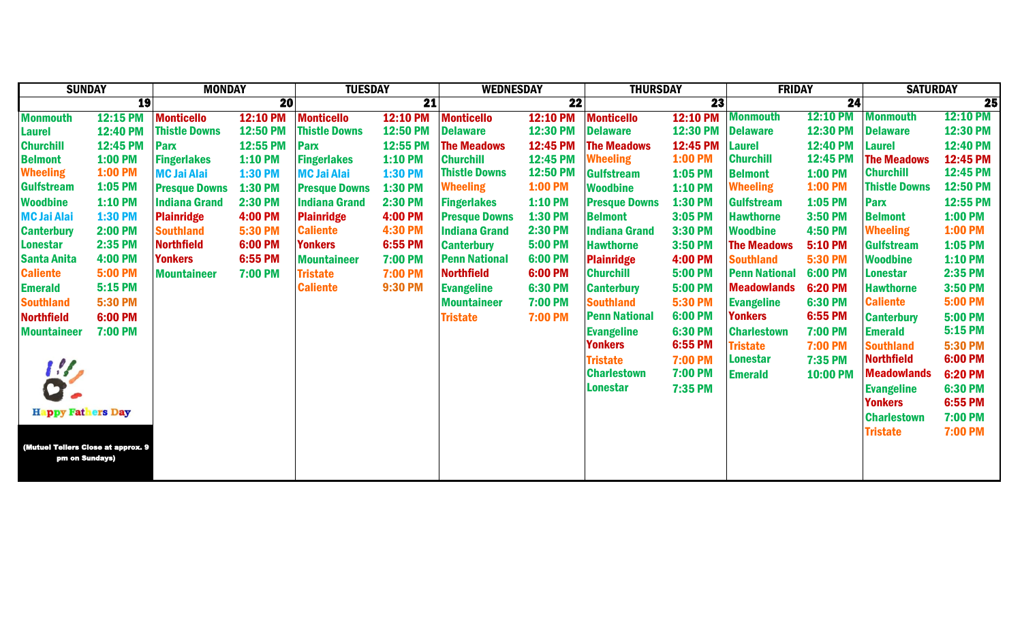| <b>SUNDAY</b>                      |                | <b>MONDAY</b>        |                | <b>TUESDAY</b>       |                 | <b>WEDNESDAY</b>     |                 | <b>THURSDAY</b>      |                 | <b>FRIDAY</b>        |                 | <b>SATURDAY</b>      |                 |
|------------------------------------|----------------|----------------------|----------------|----------------------|-----------------|----------------------|-----------------|----------------------|-----------------|----------------------|-----------------|----------------------|-----------------|
|                                    | <b>19</b>      |                      | 20             |                      | $\overline{21}$ |                      | $\overline{22}$ |                      | $\overline{23}$ |                      | $\overline{24}$ |                      | $\overline{25}$ |
| <b>Monmouth</b>                    | 12:15 PM       | <b>Monticello</b>    | 12:10 PM       | <b>Monticello</b>    | <b>12:10 PM</b> | <b>Monticello</b>    | <b>12:10 PM</b> | <b>Monticello</b>    | <b>12:10 PM</b> | <b>Monmouth</b>      | <b>12:10 PM</b> | <b>Monmouth</b>      | <b>12:10 PM</b> |
| <b>Laurel</b>                      | 12:40 PM       | <b>Thistle Downs</b> | 12:50 PM       | <b>Thistle Downs</b> | 12:50 PM        | <b>Delaware</b>      | 12:30 PM        | <b>Delaware</b>      | 12:30 PM        | <b>Delaware</b>      | 12:30 PM        | <b>Delaware</b>      | 12:30 PM        |
| <b>Churchill</b>                   | 12:45 PM       | <b>Parx</b>          | 12:55 PM       | Parx                 | 12:55 PM        | <b>The Meadows</b>   | 12:45 PM        | <b>The Meadows</b>   | 12:45 PM        | <b>Laurel</b>        | 12:40 PM        | <b>Laurel</b>        | 12:40 PM        |
| <b>Belmont</b>                     | 1:00 PM        | <b>Fingerlakes</b>   | <b>1:10 PM</b> | <b>Fingerlakes</b>   | <b>1:10 PM</b>  | <b>Churchill</b>     | 12:45 PM        | <b>Wheeling</b>      | <b>1:00 PM</b>  | <b>Churchill</b>     | 12:45 PM        | <b>The Meadows</b>   | 12:45 PM        |
| <b>Wheeling</b>                    | 1:00 PM        | <b>MC Jai Alai</b>   | <b>1:30 PM</b> | <b>MC Jai Alai</b>   | <b>1:30 PM</b>  | <b>Thistle Downs</b> | 12:50 PM        | <b>Gulfstream</b>    | 1:05 PM         | <b>Belmont</b>       | 1:00 PM         | <b>Churchill</b>     | 12:45 PM        |
| <b>Gulfstream</b>                  | 1:05 PM        | <b>Presque Downs</b> | 1:30 PM        | <b>Presque Downs</b> | 1:30 PM         | <b>Wheeling</b>      | 1:00 PM         | <b>Woodbine</b>      | <b>1:10 PM</b>  | <b>Wheeling</b>      | <b>1:00 PM</b>  | <b>Thistle Downs</b> | <b>12:50 PM</b> |
| <b>Woodbine</b>                    | 1:10 PM        | <b>Indiana Grand</b> | <b>2:30 PM</b> | <b>Indiana Grand</b> | <b>2:30 PM</b>  | <b>Fingerlakes</b>   | <b>1:10 PM</b>  | <b>Presque Downs</b> | 1:30 PM         | <b>Gulfstream</b>    | 1:05 PM         | Parx                 | 12:55 PM        |
| <b>MC Jai Alai</b>                 | <b>1:30 PM</b> | <b>Plainridge</b>    | <b>4:00 PM</b> | <b>Plainridge</b>    | <b>4:00 PM</b>  | <b>Presque Downs</b> | 1:30 PM         | <b>Belmont</b>       | 3:05 PM         | <b>Hawthorne</b>     | 3:50 PM         | <b>Belmont</b>       | <b>1:00 PM</b>  |
| <b>Canterbury</b>                  | <b>2:00 PM</b> | <b>Southland</b>     | 5:30 PM        | <b>Caliente</b>      | 4:30 PM         | <b>Indiana Grand</b> | <b>2:30 PM</b>  | <b>Indiana Grand</b> | 3:30 PM         | <b>Woodbine</b>      | <b>4:50 PM</b>  | <b>Wheeling</b>      | <b>1:00 PM</b>  |
| <b>Lonestar</b>                    | 2:35 PM        | <b>Northfield</b>    | 6:00 PM        | <b>Yonkers</b>       | 6:55 PM         | <b>Canterbury</b>    | <b>5:00 PM</b>  | <b>Hawthorne</b>     | 3:50 PM         | <b>The Meadows</b>   | <b>5:10 PM</b>  | <b>Gulfstream</b>    | 1:05 PM         |
| <b>Santa Anita</b>                 | <b>4:00 PM</b> | <b>Yonkers</b>       | 6:55 PM        | <b>Mountaineer</b>   | <b>7:00 PM</b>  | <b>Penn National</b> | 6:00 PM         | <b>Plainridge</b>    | 4:00 PM         | <b>Southland</b>     | 5:30 PM         | <b>Woodbine</b>      | <b>1:10 PM</b>  |
| <b>Caliente</b>                    | <b>5:00 PM</b> | <b>Mountaineer</b>   | <b>7:00 PM</b> | <b>Tristate</b>      | 7:00 PM         | <b>Northfield</b>    | 6:00 PM         | <b>Churchill</b>     | 5:00 PM         | <b>Penn National</b> | 6:00 PM         | <b>Lonestar</b>      | 2:35 PM         |
| <b>Emerald</b>                     | <b>5:15 PM</b> |                      |                | <b>Caliente</b>      | <b>9:30 PM</b>  | <b>Evangeline</b>    | 6:30 PM         | <b>Canterbury</b>    | <b>5:00 PM</b>  | <b>Meadowlands</b>   | 6:20 PM         | <b>Hawthorne</b>     | 3:50 PM         |
| <b>Southland</b>                   | <b>5:30 PM</b> |                      |                |                      |                 | <b>Mountaineer</b>   | <b>7:00 PM</b>  | <b>Southland</b>     | <b>5:30 PM</b>  | <b>Evangeline</b>    | 6:30 PM         | <b>Caliente</b>      | <b>5:00 PM</b>  |
| <b>Northfield</b>                  | 6:00 PM        |                      |                |                      |                 | <b>Tristate</b>      | <b>7:00 PM</b>  | <b>Penn National</b> | 6:00 PM         | <b>Yonkers</b>       | 6:55 PM         | <b>Canterbury</b>    | <b>5:00 PM</b>  |
| <b>Mountaineer</b>                 | <b>7:00 PM</b> |                      |                |                      |                 |                      |                 | <b>Evangeline</b>    | 6:30 PM         | <b>Charlestown</b>   | <b>7:00 PM</b>  | <b>Emerald</b>       | 5:15 PM         |
|                                    |                |                      |                |                      |                 |                      |                 | <b>Yonkers</b>       | 6:55 PM         | <b>Tristate</b>      | <b>7:00 PM</b>  | <b>Southland</b>     | <b>5:30 PM</b>  |
|                                    |                |                      |                |                      |                 |                      |                 | <b>Tristate</b>      | <b>7:00 PM</b>  | <b>Lonestar</b>      | 7:35 PM         | <b>Northfield</b>    | 6:00 PM         |
| $\mathcal{U}$                      |                |                      |                |                      |                 |                      |                 | <b>Charlestown</b>   | <b>7:00 PM</b>  | <b>Emerald</b>       | 10:00 PM        | <b>Meadowlands</b>   | 6:20 PM         |
|                                    |                |                      |                |                      |                 |                      |                 | Lonestar             | 7:35 PM         |                      |                 | <b>Evangeline</b>    | 6:30 PM         |
|                                    |                |                      |                |                      |                 |                      |                 |                      |                 |                      |                 | <b>Yonkers</b>       | 6:55 PM         |
| <b>Happy Fathers Day</b>           |                |                      |                |                      |                 |                      |                 |                      |                 |                      |                 | <b>Charlestown</b>   | <b>7:00 PM</b>  |
|                                    |                |                      |                |                      |                 |                      |                 |                      |                 |                      |                 | <b>Tristate</b>      | 7:00 PM         |
| (Mutuel Tellers Close at approx. 9 |                |                      |                |                      |                 |                      |                 |                      |                 |                      |                 |                      |                 |
| pm on Sundays)                     |                |                      |                |                      |                 |                      |                 |                      |                 |                      |                 |                      |                 |
|                                    |                |                      |                |                      |                 |                      |                 |                      |                 |                      |                 |                      |                 |